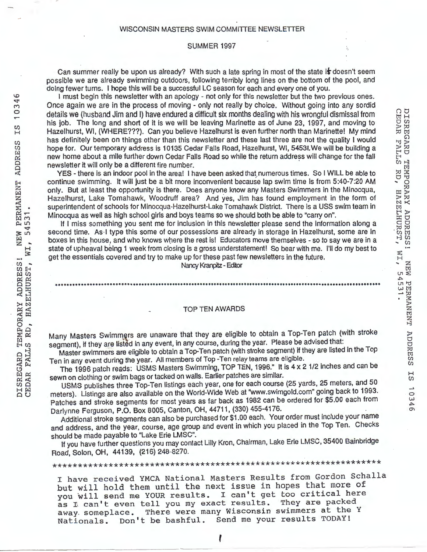#### SUMMER 1997

Can summer really be upon us already? With such a late spring in most of the state **it** doesn't seem possible we are already swimming outdoors, following terribly long lines on the bottom of the pool, and doing fewer turns. I hope this will be a successful LC season for each and every one of you.

I must begin this newsletter with an apology - not only for this newsletter but the two previous ones. Once again we are in the process of moving - only not really by choice. Without going into any sordid details we (husband Jim and I) have endured a difficult six months dealing with his wrongful dismissal from his job. The long and short of it is we will be leaving Marinette as of June 23, 1997, and moving to Hazelhurst, WI, (WHERE???). Can you believe Hazelhurst is even further north than Marinette! My mind has definitely been on things other than this newsletter and these last three are not the quality I would hope for. Our temporary address is 10135 Cedar Falls Road, Hazelhurst, WI, 54531. We will be building a new home about a mile further down Cedar Falls Road so while the return address will change for the fall newsletter it will only be a different fire number.

DISREGARD<br>OISREGARD CEDAR FALLS

en 1-3 l:Ij ~3:

PORARY<br>D, HAZI

 $~\omega~\mathrm{H}$ 1-3 en .. en

> :8 H .. z l:Ij **i 1**<br>**b x**

PERMANENT<br>531.

ADDRESS

H en

10346

HAZELHURST, ADDI<br>LHUI

YES - there is an indoor pool in the area! I have been asked that numerous times. So I WILL be able to continue swimming. It will just be a bit more inconvenient because lap swim time is from 5:40-7:20 AM only. But at least the opportunity is there. Does anyone know any Masters Swimmers in the Minocqua, Hazelhurst, Lake Tomahawk, Woodruff area? And yes, Jim has found employment in the form of superintendent of schools for Minocqua-Hazelhurst-Lake Tomahawk District. There is a USS swim team in Minocqua as well as high school girls and boys teams so we should both be able to "carry on".

If I miss something you sent me for inclusion in this newsletter please send the information along a second time. As I type this some of our possessions are already in storage in Hazelhurst, some are in boxes in this house, and who knows where the rest isl Educators move themselves - so to say we are in a state of upheaval being 1 week from closing is a gross understatement! So bear with me. I'll do my best to get the essentials covered and try to make up for these past few newsletters in the future.

Nancy Kranpitz - Editor

#### TOP TEN AWARDS

••••••••••••••••••••••••••••••••••••••••••••••••••••••••••••••••••••••••••••••••••••••••••••••••••••••••••••••••••••

Many Masters Swimmers are unaware that they are eligible to obtain a Top-Ten patch (with stroke segment), if they are listed in any event, in any course, during the year. Please be advised that:

Master swimmers are eligible to obtain a Top-Ten patch (with stroke segment) 1f they are listed in the Top Ten in any event during the year. All members of Top-Ten relay teams are eligible.

The 1996 patch reads: USMS Masters Swimming, TOP TEN, 1996." It is 4 x 2 1/2 inches and can be sewn on clothing or swim bags or tacked on walls. Earlier patches are similar.

USMS publishes three Top-Ten listings each year, one for each course (25 yards, 25 meters, and 50 meters). Listings are also available on the World-Wide Web at "www.swimgold.com" going back to 1993. Patches and stroke segments for most years as far back as 1982 can be ordered for \$5.00 each from Darlynne Ferguson, P.O. Box 8005, Canton, OH, 44711, (330) 455-4176. .

Additional stroke segments can also be purchased for \$1.00 each. Your order must include your name and address, and the year, course, age group and event in which you placed in the Top Ten. Checks should be made payable to "Lake Erie LMSC". .

If you have further questions you may contact Lilly Kron, Chairman, Lake Erie LMSC, 35400 Bainbridge Road, Solon, OH, 44139, (216) 248-8270.

\*\*\*\*\*\*\*\*\*\*\*\*\*\*\*\*\*\*\*\*\*\*\*\*\*\*\*\*\*\*\*\*\*\*\*\*\*\*\*\*\*\*\*\*\*\*\*\*\*\*\*\*\*\*\*\*\*\*\*\*\*\*\*\*\*

I have received YMCA National Masters Results from Gordon Schalla but will hold them until the next issue in hopes that more of you will send me YOUR results. I can't get too critical here you will send me YOUR results. I can't get too critical here<br>as I can't even tell you my exact results. They are packed away. someplace. There were many Wisconsin swimmers at the Y Nationals. Don't be bashful. Send me your results TODAY!

f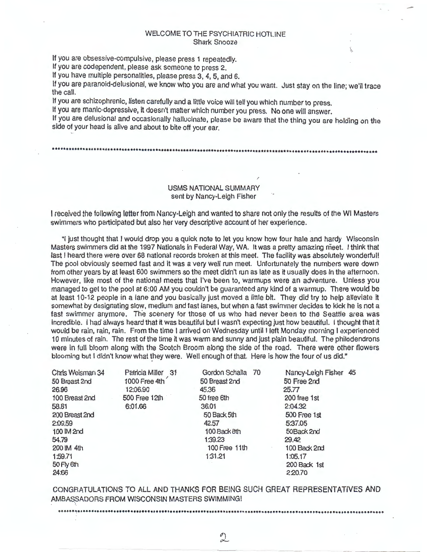# WELCOME TO THE PSYCHIATRIC HOTLINE Shark Snooze

If you are obsessive-compulsive, please press 1 repeatedly.

If you are codependent, please ask someone to press 2.

If you have multiple personalities, please press 3, 4, 5, and 6.

If you are paranoid-delusional, we know who you are and what you want. Just stay on the line; we'll trace the call.

If you are schizophrenic, listen carefully and a little voice will tell you which number to press.

If you are manic-depressive, it doesn't matter which number you press. No one will answer.

If you are delusional and occasionally hallucinate, please be aware that the thing you are holding on the side of your head is alive and about to bite off your ear.

\*\*\*\*\*\*\*\*\*\*\*\*\*\*\*\*\*\*\*\*\*\*\*\*\*\*\*\*\*\*\*\*\*\*\*••···············································································

# USMS NATIONAL SUMMARY sent by Nancy-Leigh Fisher

I received the following letter from Nancy-Leigh and wanted to share not only the results of the WI Masters swimmers who participated but also her very descriptive account of her experience.

"I just thought that I would drop you a quick note to let you know how four hale and hardy Wisconsin Masters swimmers did at the 1997 Nationals in Federal Way, WA. It was a pretty amazing meet. I think that last I heard there were over 68 national records broken at this meet. The facility was absolutely wonderful! The pool obviously seemed fast and it was a very well run meet. Unfortunately the numbers were down from other years by at least 600 swimmers so the meet didn't run as late as it usually does in the afternoon. However, like most of the national meets that I've been to, warmups were an adventure. Unless you managed to get to the pool at 6:00 AM you couldn't be guaranteed any kind of a warmup. There would be at least 10-12 people in a lane and you basically just moved a little bit. They did try to help alleviate it somewhat by designating slow, medium and fast lanes, but when a fast swimmer decides to kick he is not a fast swimmer anymore. The scenery for those of us who had never been to the Seattle area was incredible. I had always heard that it was beautiful but I wasn't expecting just how beautiful. I thought that it would be rain, rain, rain. From the time I arrived on Wednesday until I left Monday morning I experienced 10 minutes of rain. The rest of the time it was warm and sunny and just plain beautiful. The philodendrons were in full bloom along with the Scotch Broom along the side of the road. There were other flowers blooming but I didn't know what they were. Well enough of that. Here is how the four of us did."

| Chris Weisman 34 | Patricia Miller 31 | Gordon Schalla 70 | Nancy-Leigh Fisher 45 |
|------------------|--------------------|-------------------|-----------------------|
| 50 Breast 2nd    | 1000 Free 4th      | 50 Breast 2nd     | 50 Free 2nd           |
| 26.96            | 12:06.90           | 45.36             | 25.77                 |
| 100 Breast 2nd   | 500 Free 12th      | 50 free 6th       | 200 free 1st          |
| 58.81            | 6:01.66            | 36.01             | 2:04.32               |
| 200 Breast 2nd   |                    | 50 Back 5th       | <b>500 Free 1st</b>   |
| 2:09.59          |                    | 42.57             | 5:37.05               |
| 100 IM 2nd       |                    | 100 Back 8th      | 50Back 2nd            |
| 54.79            |                    | 1:39.23           | 29.42                 |
| 200 IM 4th       |                    | 100 Free 11th     | 100 Back 2nd          |
| 1:59.71          |                    | 1:31.21           | 1:05.17               |
| 50 Fly 6th       |                    |                   | 200 Back 1st          |
| 24.66            |                    |                   | 220.70                |

CONGRATULATIONS TO ALL AND THANKS FOR BEING SUCH GREAT REPRESENTATIVES AND AMBAS.SADORS FROM WISCONSIN MASTERS SWIMMING!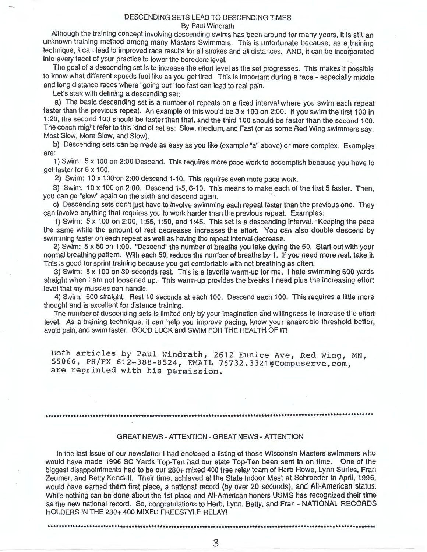## DESCENDING SETS LEAD TO DESCENDING TIMES By Paul Windrath

Although the training concept involving descending swims has been around for many years, it is still an unknown training method among many Masters Swimmers. This is unfortunate because, as a training technique, it can lead to improved race results for all strokes and all distances. AND, it can be incorporated into every facet of your practice to lower the boredom level.

The goal of a descending set is to increase the effort level as the set progresses. This makes it possible to know what different speeds feel like as you get tired. This is important during a race - especially middle and long distance races where "going out" too fast can lead to real pain.

Let's start with defining a descending set:

a) The basic descending set is a number of repeats on a fixed interval where you swim each repeat faster than the previous repeat. An example of this would be 3 x 100 on 2:00. If you swim the first 100 in 1 :20, the second 100 should be faster than that, and the third 100 should be faster than the second 100. The coach might refer to this kind of set as: Slow, medium, and Fast (or as some Red Wing swimmers say: Most Slow, More Slow, and Slow).

b) Descending sets can be made as easy as you like (example "a" above) or more complex. Examples are:

1) Swim: 5 x 100 on 2:00 Descend. This requires more pace work to accomplish because you have to get faster for 5 x 100.

2) Swim: 10 x 100·on 2:00 descend 1-10. This requires even mare pace work.

3) Swim: 10 x 100 on 2:00. Descend 1-5, 6-10. This means to make each of the first 5 faster. Then, you can go "slow" again on the sixth and descend again.

c) Descending sets don't just have to involve swimming each repeat faster than the previous one. They can involve anything that requires you to work harder than the previous repeat. Examples: .

1) Swim:  $5 \times 100$  on 2:00, 1:55, 1:50, and 1:45. This set is a descending interval. ·· Keeping the pace the same while the amount of rest decreases increases the effort. You can also double descend by swimming faster on each repeat as well as having the repeat interval decrease.

2) Swim: 5 x 50 on 1 :00. "Descend" the number of breaths you take during the 50. Start out with your normal breathing pattern. With each 50, reduce the number of breaths by 1. If you need more rest, take it. This is good for sprint training because you get comfortable with not breathing as often.

3) Swim: 6 x 100 on 30 seconds rest. This is a favorite warm-up for me. I hate swimming 600 yards straight when I am not loosened up. This warm-up provides the breaks I need plus the increasing effort level that my muscles can handle.

4) Swim: 500 straight. Rest 10 seconds at each 100. Descend each 100. This requires a little more thought and is excellent for distance training.

The number of descending sets is limited only by your imagination and willingness te increase the effort level. As a training technique, it can help you improve pacing, know your anaerobic threshold better, avoid pain, and swim faster. GOOD LUCK and SWIM FOR THE HEALTH OF IT!

Both articles by Paul Windrath, 2612 Eunice Ave, Red Wing, MN, 55066, PH/FX 612-388-8524, EMAIL 76732.3321@Compuserve.com, are reprinted with his permission .

••••••••••••••••••••••••••••••••••••••••••••••••••••••••••••••••••••••••••••••••••••••••••••••••••••••••••••••••••••

#### GREAT NEWS-ATTENTION - GREAT NEWS-ATTENTION

In the last issue of our newsletter I had enclosed a listing of those Wisconsin Masters swimmers who would have made 1996 SC Yards Top-Ten had our state Top-Ten been sent in on time. One of the biggest disappointments had to be our 280+ mixed 400 free relay team of Herb Howe, Lynn Surles, Fran Zeumer, and Betty Kendall. Their time, achieved at the State Indoor Meet at Schroeder in April, 1996, would have earned them first place, a national record (by over 20 seconds), and All-American status. While nothing can be done about the 1st place and All-American honors USMS has recognized their time as the new national record. So, congratulations to Herb, Lynn, Betty, and Fran - NATIONAL RECORDS HOLDERS IN THE 280+ 400 MIXED FREESTYLE RELAY!

••••••••••••••••••••••••••••••••••••••••••••••••••••••••••••••••••••••••••••••••••••••••••••••••••••••••••••••••••••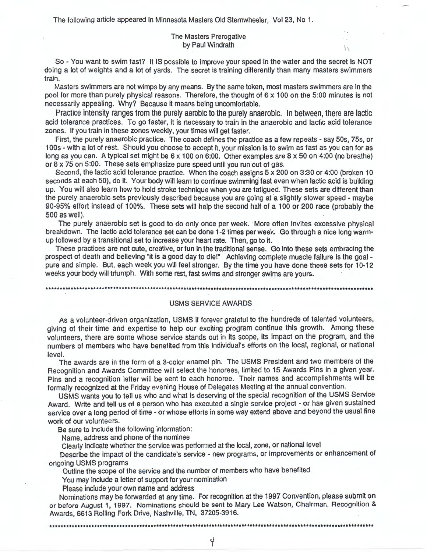The following article appeared in Minnesota Masters Old Sternwheeler, Vol 23, No 1.

## The Masters Prerogative by Paul Windrath

i.

So - You want to swim fast? It IS possible to improve your speed in the water and the secret is NOT doing a lot of weights and a lot of yards. The secret is training differently than many masters swimmers train.

Masters swimmers are not wimps by any means. By the same token, most masters swimmers are in the pool for more than purely physical reasons. Therefore, the thought of 6 x 100 on the 5:00 minutes is not necessarily appealing. Why? Because it means being uncomfortable.

Practice intenstty ranges from the purely aerobic to the purely anaerobic. In between, there are lactic acid tolerance practices. To go faster, it is necessary to train in the anaerobic and lactic acid tolerance zones. If you train in these zones weekly, your times will get faster.

First, the purely anaerobic practice. The coach defines the practice as a few repeats - say 50s, 75s, or 1 00s - with a lot of rest. Should you choose to accept it, your mission is to swim as fast as you can for as long as you can. A typical set might be 6 x 100 on 6:00. Other examples are 8 x 50 on 4:00 {no breathe) or 8 x 75 on 5:00. These sets emphasize pure speed until you run out of gas.

Second, the lactic acid tolerance practice. When the coach assigns  $5 \times 200$  on  $3:30$  or  $4:00$  (broken 10 seconds at each 50), do it. Your body will learn to continue swimming fast even when lactic acid is building up. You will also learn how to hold stroke technique when you are fatigued. These sets are different than the purely anaerobic sets previously described because you are going at a slightly slower speed - maybe 90-95% effort instead of 100%. These sets will help the second half of a 100 or 200 race {probably the 500 as well).

The purely anaerobic set is good to do only once per week. More often invites excessive physical breakdown. The lactic acid tolerance set can be done 1-2 times per week. Go through a nice long warmup followed by a transitional set to increase your heart rate. Then, go to it.

These practices are not cute, creative, or fun in the traditional sense. Go into these sets embracing the prospect of death and believing "it is a good day to die!" Achieving complete muscle failure is the goal pure and simple. But, each week you will feel stronger. By the time you have done these sets for 10-12 weeks your body will triumph. With some rest, fast swims and stronger swims are yours.

#### •••••••••••••••••••••••••••••••••••••••••••••••••••••••••••••••••••••••••••••••••••••••••••••••••••••••••••••••••••••

#### USMS SERVICE **AWARDS**

.<br>The company of the construction of the company of the construction of the construction of the construction of As a volunteer-driven organization, USMS if forever grateful to the hundreds of talented volunteers, giving of their time and expertise to help our exciting program continue this growth. Among these volunteers, there are some whose service stands out in its scope, its impact on the program, and the numbers of members who have benefited from this individual's efforts on the local, regional, or national level.

The awards are in the form of a 3-color enamel pin. The USMS President and two members of the Recognition and Awards Committee will select the honorees, limited to 15 Awards Pins in a given year. Pins and a recognition letter will be sent to each honoree. Their names and accomplishments will be formally recognized at the Friday evening House of Delegates Meeting at the annual convention.

USMS wants you to tell us who and what is deserving of the special recognition of the USMS Service Award. Write and tell us of a person who has executed a single service project - or has given sustained service over a long period of time - or whose efforts in some way extend above and beyond the usual fine work of our volunteers.

Be sure to include the following information:

Name, address and phone of the nominee

Clearly indicate whether the service was performed at the local, zone, or national level

Describe the impact of the candidate's service - new programs, or improvements or enhancement of ongoing USMS programs

Outline the scope of the service and the number of members who have benefited

You may include a letter of support for your nomination

Please include your own name and address

Nominations may be forwarded at any time. For recognition at the 1997 Convention, please submit on or before August **1,** 1997. Nominations should be sent to Mary Lee Watson, Chairman, Recognition & Awards, 6613 Rolling Fork Drive, Nashville, TN, 37205-3916.

\*\*\*\*\*\*\*\*\*\*\*\*\*\*\*\*\*\*\*\*\*\*\*\*\*\*\*\*\*\*\*\*\*\*\*\*\*\*\*\*\*\*\*\*\*\*\*\*\*\*\*\*\*\*\*\*\*\*\*\*\*\*\*\*\*\*\*\*\*\*\*\*\*\*\*\*\*\*\*\*\*\*\*\*\*\*\*\*\*\*\*\*\*\*\*\*\*\*\*\*\*\*\*\*\*\*\*\*\*\*\*\*\*\*\*\*

y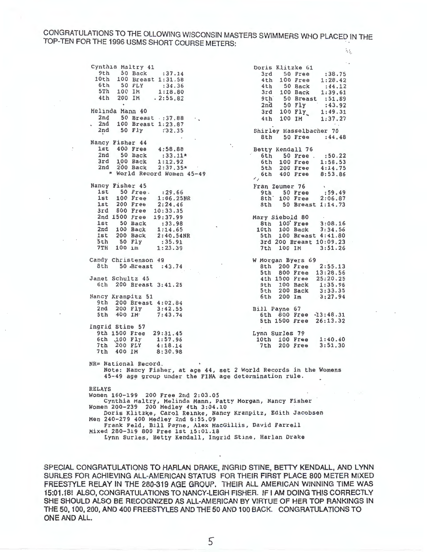CONGRATULATIONS TO THE OLLOWING WISCONSIN MASTERS SWIMMERS WHO PLACED IN THE TOP-TEN FOR THE 1996 USMS SHORT COURSE METERS:

 $\cdot \cdot \cdot$ 

Cynthia Maltry 41 Doris Klitzke 61 9th 50 Back :37.14 3rd 50 Free : 38.75<br>4th 100 Free 1:28.42 10th 100 Breast 1:31.58 4th 100 Free 1:28.42 6th 50 FLY :34.36 4th 50 Back :44.12 5Th 100 IM 1:18.80 3rd 100 Back 1:39.61 4th 200 IM . 2:55.82 9th 50 Breast : 51. 89  $\bullet$ 2nd 50 Fly :43.92 Melinda Mann 40 3rd 100 Fly., 1:49.31 2nd 50 Breast : 37.88 4th 100 IM 1:37.27 . 2nd 100 Breast 1:23.87 2nd 50 Fly :32.35 Shirley Hasselbacher 70 8th 50 Free :44.48  $\sim$   $\sim$ Nancy Fisher 44 Betty Kendall 76<br>6th 50 Free 1st 400 Free 4:58,88 50 Back :33.11\* 6th 50 Free : 50.22 2nd 3rd 100 Back 1:12.92 6th 100 Free 1:58.53 2nd 200 Back 2:37.35\* 5th 200 Free 4:14.75 \* World Record Women 45-49 6th 400 Free 8:53.86 // Nancy Fisher 45 Fran Zeumer 76 1st 50 Free. :29.66 9th 50 Free :59.49 8th· 100 Free 2:06.87 1st 100 Free 1:06.25NR 1st 200 Free 2:24.46 8th 50 Breast 1:14.73 3rd 800 Free 10:33.35 2nd 1500 Free 19:37.99 Mary Siebold 80 1st 50 Back :33.98 8th 100· Free 3:08.16 2nd 100 Back 1:14.65 1st 200 Back 2:40.54NR '5th 50 Fly : 35. 91 10th 100 Back 3:34.56 5th 100 Breast 4:41.80<br>3rd 200 Breast 10:00 00 3rd 200 Breast 10:09.23<br>7th 100 IM 3:51.26 7TH 100 1m 1:23.39 7th 100 IM Candy Christenson 49<br>8th 50 Breast :4 W Morgan Byers 69 8th 200 Free 2:55.13 50 *Breast* :43.74 5th 800 Free 13:28.56 4th 1500 Free 25:20.25 Janet Schultz 45 9th 100 Back 1:35.96 6th 200 Breast 3:41.25 5th 200 Back 3:33.35 6th 200 Im 3:27.94 Nancy Kranpitz 51 9th 200 Breast 4:02.84 2nd 200 Fly 3:42.55 Bill Payne 67 5th 400 IM 7:43.74 6th 800 Free -13:48.31 5th 1500 Free 26:13.32 Ingrid Stine 57 9th 1500 Free 29:31.45<br>6th 100 Fly 1:57.96 Lynn Surles 79 6th .100 Fly 1:57.96 10th 100 Free 1:40.40 7th 200 FLY 4:18.14<br>7th 400 IM 8:30.98 7th 200 FLY 4:18.14 7th 200 Free 3: 51. 30 NR= National Record.

Note: Nancy Fisher, at age 44, set 2 World Records in the Womens 45-49 age group under the FINA age determination rule.

#### RELAYS

Women 160-199 200 Free 2nd 2:03.05 Cynthia Maltry, Melinda Mann, Patty Morgan, Nancy Fisher Women 200-239 200 Medley 4th 3:04.10 Doris KlitzKe, Carol Reinke, Nancy Kranpitz, Edith Jacobsen Men 240-279 400 Medley 2nd 6:55.09 Frank Feld, Bill Payne, Alex MacGillis, David Farrell Mixed 280-319 800 Free 1st 15:01.18 Lynn Surles, Betty Kendall, Ingrid Stine, Harlan Drake

SPECIAL CONGRATULATIONS TO HARLAN DRAKE, INGRID STINE, BETTY KENDALL, AND LYNN SURLES FOR ACHIEVING ALL-AMERICAN STATUS FOR THEIR FIRST PLACE 800 METER MIXED FREESTYLE RELAY IN THE 280-319 AGE GROUP. THEIR ALL AMERICAN WINNING TIME WAS 15:01.181 ALSO, CONGRATULATIONS TO NANCY-LEIGH FISHER. IF I AM DOING THIS CORRECTLY SHE SHOULD ALSO BE RECOGNIZED AS ALL-AMERICAN BY VIRTUE OF HER TOP RANKINGS IN THE 50,100,200, AND 400 FREESTYLES AND THE 50 AND 100 BACK. CONGRATULATIONS TO ONE AND ALL.

5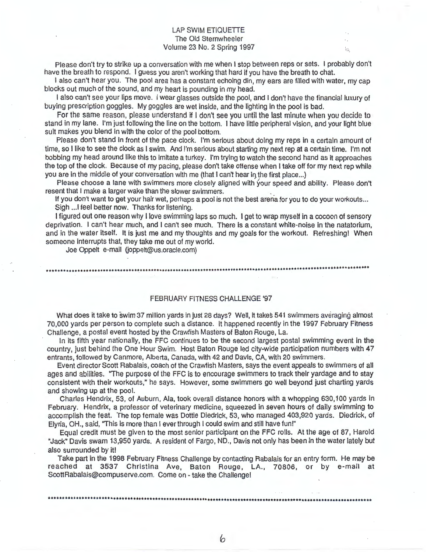# LAP SWIM ETIQUETTE The Old Sternwheeler Volume 23 No. 2 Spring 1997

 $\frac{1}{\sqrt{2}}\int_{\mathcal{M}}$ 

Please don't try to strike up a conversation with me when I stop between reps or sets. I probably don't have the breath to respond. I guess you aren't working that hard if you have the breath to chat.

I also can't hear you. The pool area has a constant echoing din, my ears are filled with water, my cap blocks out much of the sound, and my heart is pounding in my head.

I also can't see your lips move. I wear glasses outside the pool, and I don't have the financial luxury of buying prescription goggles. My goggles are wet inside, and the lighting in the pool is bad.

For the same reason, please understand if I don't see you until the last minute when you decide to stand in my lane. I'm just following the line on the bottom. I have little peripheral vision, and your light blue suit makes you blend in with the color of the pool bottom.

Please don't stand in front of the pace clock. I'm serious about doing my reps in a certain amount of time, so I like to see the clock as I swim. And I'm serious about starting my next rep at a certain time. I'm not bobbing my head around like this to imitate a turkey. I'm trying to watch the second hand as it approaches the top of the clock. Because of my pacing, please don't take offense when I take off for my next rep while you are in the middle of your conversation with me (that I can't hear in the first place...)

Please choose a lane with swimmers more closely aligned with your speed and ability. Please don't resent that I make a larger wake than the slower swimmers. .

If you don't want to get your hair wet, perhaps a pool is not the best arena for you to do your workouts... Sigh ... I feel better now. Thanks for listening.

I figured out one reason why I love swimming laps so much. I get to wrap myself in a cocoon of sensory deprivation. I can't hear much, and I can't see much. There is a constant white-noise in the natatorium, and in the water itself. It is just me and my thoughts and my goals for the workout. Refreshing! When someone interrupts that, they take me out of my world.

Joe Oppelt e-mail (joppelt@us.oracle.com)

#### \*\*\*\*\*\*\*\*\*\*\*\*\*\*\*\*\*\*\*\*\*\*\*\*\*\*\*\*\*\*\*\*\*\*\*\*\*\*

#### FEBRUARY FITNESS CHALLENGE '97

What does it take to swim 37 million yards in just 28 days? Well, it takes 541 swimmers averaging almost 70,000 yards per person to complete such a distance. It happened recently in the 1997 February Fitness Challenge, a postal event hosted by the Crawfish Masters of Baton Rouge, La.

In its fifth year nationally, the FFC continues to be the second largest postal swimming event in the country, just behind the One Hour Swim. Host Baton Rouge led city-wide participation numbers with 47 entrants, followed by Canmore, Alberta, Canada, with 42 and Davis, CA, with 20 swimmers.

Event director Scott Rabalais, coach of the Crawfish Masters, says the event appeals to swimmers of all ages and abilities. ''The purpose of the FFC is to encourage swimmers to track their yardage and to stay consistent with their workouts," he says. However, some swimmers go well beyond just charting yards and showing up at the pool.

Charles Hendrix, 53, of Auburn, Ala, took overall distance honors with a whopping 630,100 yards in February. Hendrix, a professor of veterinary medicine, squeezed in seven hours of daily swimming to accomplish the feat. The top female was Dottie Diedrick, 53, who managed 403,920 yards. Diedrick, of Elyria, OH., said, "This is more than I ever through I could swim and still have fun!"

Equal credit must be given to the most senior participant on the FFC rolls. At the age of 87, Harold "Jack" Davis swam 13,950 yards. A resident of Fargo, ND., Davis not only has been in the water lately but also surrounded by it!

Take part in the 1998 February Fitness Challenge by contacting Rabalais for an entry form. He may be reached at 3537 Christina Ave, Baton Rouge, LA., 70806, or by e-mail at ScottRabalais@compuserve.com. Come on - take the Challenge!

••••••••••••••••••••••••••••••••••••••••••••••••••••••••••••••••••••••••••••••••••••••••••••••••••••••••••••••••••••

6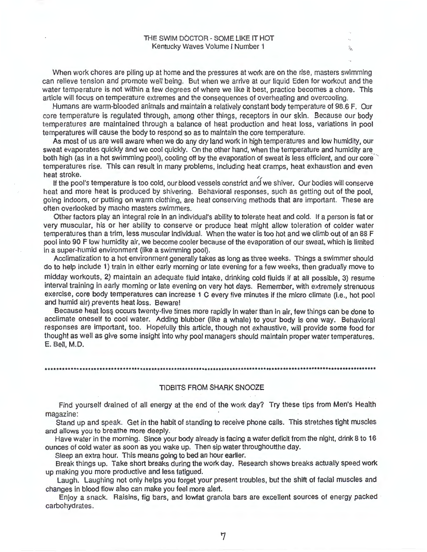#### THE SWIM DOCTOR - SOME LIKE IT HOT Kentucky Waves Volume I Number 1  $\mathbf{Q}$

When work chores are piling up at home and the pressures at work are on the rise, masters swimming can relieve tension and promote well being. But when we arrive at our liquid Eden for workout and the water temperature is not within a few degrees of where we like it best, practice becomes a chore. This article will focus on temperature extremes and the consequences of overheating and overcooling.

Humans are warm-blooded animals and maintain a relatively constant body temperature of 98.6 F. Our core temperature is regulated through, among other things, receptors in our skin. Because our body temperatures are maintained through a balance of heat production and heat loss, variations in pool temperatures will cause the body to respond so as to maintain the core temperature.

As most of us are well aware when we do any dry land work in high temperatures and low humidity, our sweat evaporates quickly and we cool quickly. On the other hand, when the temperature and humidity are both high (as in a hot swimming pool), cooling off by the evaporation of sweat is less efficient, and our core temperatures rise. This can result in many problems, including heat cramps, heat exhaustion and even heat stroke.  $\sqrt{2}$ 

If the pool's temperature is too cold, our blood vessels constrict and we shiver. Our bodies will conserve heat and more heat is produced by shivering. Behavioral responses, such as getting out of the pool, going indoors, or putting on warm clothing, are heat conserving methods that are important. These are often overlooked by macho masters swimmers.

Other factors play an integral role in an individual's ability to tolerate heat and cold. If a person is fat or very muscular, his or her ability to conserve or produce heat might allow toleration of colder water temperatures than a trim, less muscular individual. When the water is too hot and we climb out of an 88 F pool into 90 F low humidity air, we become cooler because of the evaporation of our sweat, which is limited in a super-humid environment (like a swimming pool).

Acclimatization to a hot-environment generally takes as long as three weeks. Things a swimmer should do to help include 1) train in either early morning or late evening for a few weeks, then gradually move to midday workouts, 2) maintain an adequate fluid intake, drinking cold fluids if at all possible, 3) resume interval training in early morning or late evening on very hot days. Remember, with extremely strenuous exercise, core body temperatures can increase 1 C every five minutes if the micro climate (i.e., hot pool and humid air) prevents heat loss. Beware!

Because heat loss occurs twenty-five times more rapidly in water than in air, few things can be done to acclimate oneself to cool water. Adding blubber (like a whale) to your body is one way. Behavioral responses are important, too. Hopefully this article, though not exhaustive, will provide some food for thought as well as give some insight into why pool managers should maintain proper water temperatures. E. Bell, **M.D.** 

## TIDBITS FROM SHARK SNOOZE

Find yourself drained of all energy at the end of the work day? Try these tips from Men's Health magazine:

Stand up and speak. Get in the habit of standing to receive phone calls. This stretches tight muscles and allows you to breathe more deeply.

Have water in the morning. Since your body already is facing a water deficit from the night, drink 8 to 16 ounces of cold water as soon as you wake up. Then sip water throughoutthe day.

Sleep an extra hour. This means going to bed an hour earlier.

Break things up. Take short breaks during the work day. Research shows breaks actually speed work up making you more productive and less fatigued.

Laugh. Laughing not only helps you forget your present troubles, but the shift of facial muscles and changes in blood flow also can make you feel more alert.

Enjoy a snack. Raisins, fig bars, and lowfat granola bars are excellent sources of energy packed · carbohydrates.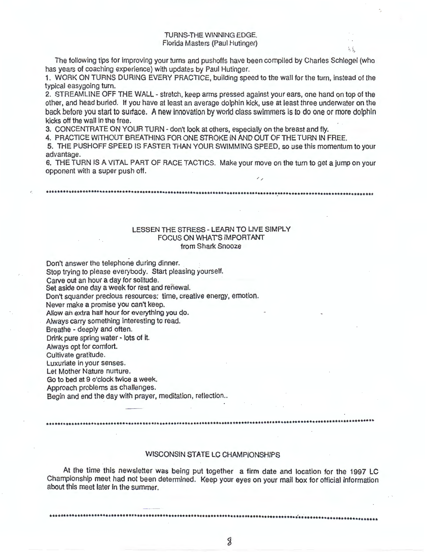#### TURNS-THE WINNING EDGE. Florida Masters (Paul Hutinger)

長夏

The following tips for improving your turns and pushoffs have been compiled by Charles Schlegel (who has years of coaching experience) with updates by Paul Hutinger.

1. WORK ON TURNS DURING EVERY PRACTICE, building speed to the wall for the turn, instead of the typical easygoing turn.

2. STREAMLINE OFF THE WALL - stretch, keep arms pressed against your ears, one hand on top of the other, and head buried. If you have at least an average dolphin kick, use at least three underwater on the back before you start to surface. A new innovation by world class swimmers is to do one or more dolphin kicks off the wall in the free.

3. CONCENTRATE ON YOUR TURN - don't look at others, especially on the breast and fly.

4. PRACTICE WITHOUT BREATHING FOR ONE STROKE IN AND OUT OF THE TURN IN FREE.

5. THE PUSHOFF SPEED IS FASTER THAN YOUR SWIMMING SPEED, so use this momentum to your advantage.

6. THE TURN IS A VITAL PART OF RACE TACTICS. Make your move on the turn to get a jump on your opponent with a super push off.

\*\*\*\*\*\*\*\*\*\*\*\*\*\*\*\*\*\*\*\*\*\*\*\*\*\*\*\*\*\*\*\*\*\*\*\*••···········································•!••·······························

 $\lambda$ 

## LESSEN THE STRESS - LEARN TO LIVE SIMPLY FOCUS ON WHATS IMPORTANT from Shark Snooze

Don't answer the telephone during dinner.

Stop trying to please everybody. Start pleasing yourself.

Carve out an hour a day for solitude.

Set aside one day a week for rest and renewal.

Don't squander precious resources: time, creative energy, emotion.

Never make a promise you can't keep.

Allow ah extra half hour for everything you do.

Always carry something interesting to read.

Breathe - deeply and often.

Drink pure spring water - lots of it.

Always opt for comfort.

Cultivate gratitude.

Luxuriate in your senses.

Let Mother Nature nurture.

Go to bed at 9 o'clock twice a week.

Approach problems as challenges.

Begin and end the day with prayer, meditation, reflection..

••••••••••••••••••••••••••••••••••••••••••••••••••••••••••••••••••••••••••••••••••••••••••••••••••••••••••••••••••••

# WISCONSIN STATE LC CHAMPIONSHIPS

At the time this newsletter was being put together a firm date and location for the 1997 LC Championship meet had not been determined. Keep your eyes on your mail box for official information about this meet later in the summer.

••••••••••••••••••••••••••••••••••••••••••••••••••••••••••••••••••••••••••••••••••••••••••••••••••••••••••••••••••••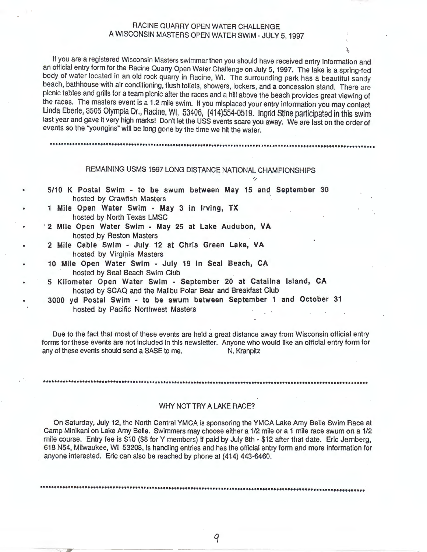# RACINE QUARRY OPEN WATER CHALLENGE A WISCONSIN MASTERS OPEN WATER SWIM - JULY 5, 1997

If you are a registered Wisconsin Masters swimmer then you should have received entry information and an official entry form for the Racine Quarry Open Water Challenge on July 5, 1997. The lake is a spring-fed body of water located in an old rock quarry in Racine, WI. The surrounding park has a beautiful sandy beach, bathhouse with air conditioning, flush toilets, showers, lockers, and a concession stand. There are picnic tables and grills for a team picnic after the races and a hill above the beach provides great viewing of the races. The masters event is a 1.2 mile swim. If you misplaced your entry information you may contact Linda Eberle, 3505 Olympia Dr., Racine, WI, 53406, (414)554-0519. Ingrid Stine participated in this swim last year and gave it very high marks! Don't let the USS events scare you away. We are last on the order of events so the ''youngins" will be long gone by the time we hit the water.

 $\mathcal{L}_{\mathcal{L}}$ 

# REMAINING USMS 1997 LONG DISTANCE NATIONAL CHAMPIONSHIPS

- 5/10 K Postal Swim to be swum between May 15 and September 30 hosted by Crawfish Masters
	- 1 Mile Open Water Swim May 3 in Irving, TX hosted by North Texas LMSC
	- 2 Mile Open Water Swim May 25 at Lake Audubon, VA hosted by Reston Masters
	- 2 Mile Cable Swim July. 12 at Chris Green Lake, VA hosted by Virginia Masters
	- 10 Mile Open Water Swim July 19 in Seal Beach, CA hosted by Seal Beach Swim Club
	- 5 Kilometer Open Water Swim September 20 at Catalina Island, CA hosted by SCAQ and the Malibu Polar Bear and Breakfast Club

••••••••••••••••••••••••••••••••••••••••••••••••••••••••••••••••••••••••••••••••••••••••••••••••••••••••••••••••••••

.,

3000 yd Postal Swim - to be swum between September 1 and October 31 hosted by Pacific Northwest Masters

Due to the fact that most of these events are held a great distance away from Wisconsin official entry forms for these events are not included in this newsletter. Anyone who would like an official entry form for any of these events should send a SASE to me. N. Kranpitz

## WHY NOT TRY A LAKE RACE?

On Saturday, July 12, the North Central YMCA is sponsoring the YMCA Lake Amy Belle Swim Race at Camp Minikani on Lake Amy Belle. Swimmers may choose either a 1/2 mile or a 1 mile race swum on a 1/2 mile course. Entry fee is \$10 (\$8 for Y members) if paid by July 8th - \$12 after that date. Eric Jernberg, 618 N54, Milwaukee, WI 53208, is handling entries and has the official entry form and more information for anyone interested. Eric can also be reached by phone at (414) 443-6460 .

••••••••••••••••••••••••••••••••••••••••••••••••••••••••••••••••••••••••••••••••••••••••••••••••••••••••••••••••••••

q